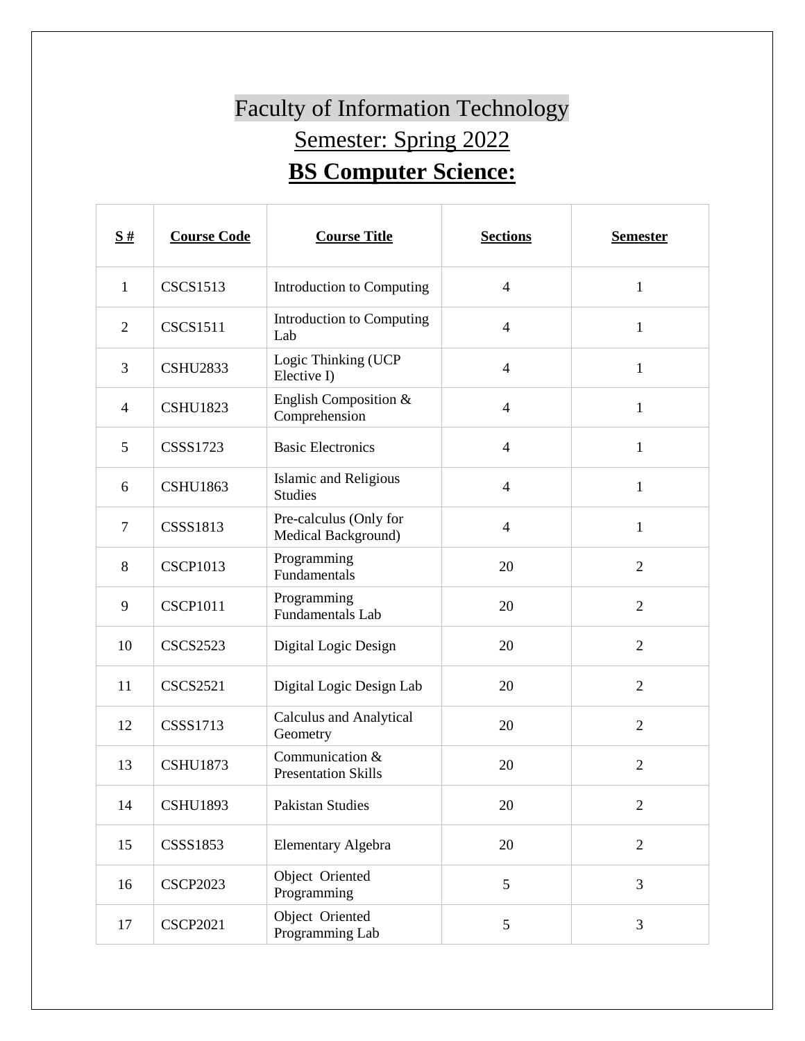## Faculty of Information Technology Semester: Spring 2022 **BS Computer Science:**

| $\frac{S#}{4}$ | <b>Course Code</b> | <b>Course Title</b>                            | <b>Sections</b> | <b>Semester</b> |
|----------------|--------------------|------------------------------------------------|-----------------|-----------------|
| $\mathbf{1}$   | <b>CSCS1513</b>    | Introduction to Computing                      | $\overline{4}$  | $\mathbf{1}$    |
| $\overline{2}$ | <b>CSCS1511</b>    | Introduction to Computing<br>Lab               | $\overline{4}$  | $\mathbf{1}$    |
| $\overline{3}$ | <b>CSHU2833</b>    | Logic Thinking (UCP<br>Elective I)             | $\overline{4}$  | $\mathbf{1}$    |
| $\overline{4}$ | <b>CSHU1823</b>    | English Composition &<br>Comprehension         | $\overline{4}$  | $\mathbf{1}$    |
| 5              | <b>CSSS1723</b>    | <b>Basic Electronics</b>                       | $\overline{4}$  | $\mathbf{1}$    |
| 6              | <b>CSHU1863</b>    | <b>Islamic and Religious</b><br><b>Studies</b> | $\overline{4}$  | $\mathbf{1}$    |
| $\tau$         | <b>CSSS1813</b>    | Pre-calculus (Only for<br>Medical Background)  | $\overline{4}$  | $\mathbf{1}$    |
| 8              | <b>CSCP1013</b>    | Programming<br>Fundamentals                    | 20              | $\overline{2}$  |
| 9              | <b>CSCP1011</b>    | Programming<br><b>Fundamentals Lab</b>         | 20              | $\overline{2}$  |
| 10             | <b>CSCS2523</b>    | Digital Logic Design                           | 20              | $\overline{2}$  |
| 11             | <b>CSCS2521</b>    | Digital Logic Design Lab                       | 20              | $\overline{2}$  |
| 12             | <b>CSSS1713</b>    | <b>Calculus and Analytical</b><br>Geometry     | 20              | $\overline{2}$  |
| 13             | <b>CSHU1873</b>    | Communication &<br><b>Presentation Skills</b>  | 20              | $\overline{2}$  |
| 14             | <b>CSHU1893</b>    | Pakistan Studies                               | 20              | $\overline{2}$  |
| 15             | <b>CSSS1853</b>    | Elementary Algebra                             | 20              | $\overline{2}$  |
| 16             | <b>CSCP2023</b>    | Object Oriented<br>Programming                 | 5               | 3               |
| 17             | <b>CSCP2021</b>    | Object Oriented<br>Programming Lab             | 5               | 3               |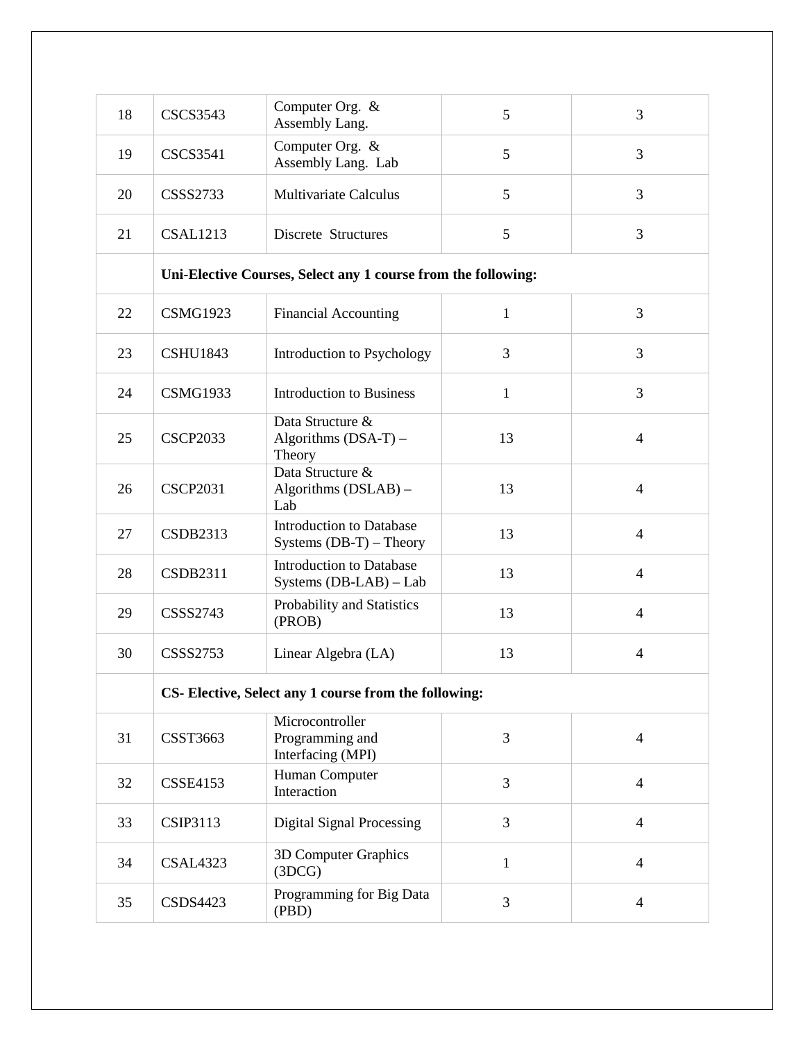| 18 | <b>CSCS3543</b>                                               | Computer Org. &<br>Assembly Lang.                            | 5            | 3              |  |
|----|---------------------------------------------------------------|--------------------------------------------------------------|--------------|----------------|--|
| 19 | <b>CSCS3541</b>                                               | Computer Org. &<br>Assembly Lang. Lab                        | 5            | 3              |  |
| 20 | <b>CSSS2733</b>                                               | <b>Multivariate Calculus</b>                                 | 5            | 3              |  |
| 21 | <b>CSAL1213</b>                                               | Discrete Structures                                          | 5            | 3              |  |
|    | Uni-Elective Courses, Select any 1 course from the following: |                                                              |              |                |  |
| 22 | <b>CSMG1923</b>                                               | <b>Financial Accounting</b>                                  | $\mathbf{1}$ | 3              |  |
| 23 | <b>CSHU1843</b>                                               | Introduction to Psychology                                   | 3            | 3              |  |
| 24 | <b>CSMG1933</b>                                               | <b>Introduction to Business</b>                              | $\mathbf{1}$ | 3              |  |
| 25 | <b>CSCP2033</b>                                               | Data Structure &<br>Algorithms $(DSA-T)$ –<br>Theory         | 13           | $\overline{4}$ |  |
| 26 | <b>CSCP2031</b>                                               | Data Structure &<br>Algorithms (DSLAB) -<br>Lab              | 13           | $\overline{4}$ |  |
| 27 | <b>CSDB2313</b>                                               | <b>Introduction to Database</b><br>Systems $(DB-T)$ – Theory | 13           | $\overline{4}$ |  |
| 28 | <b>CSDB2311</b>                                               | <b>Introduction to Database</b><br>Systems (DB-LAB) - Lab    | 13           | $\overline{4}$ |  |
| 29 | <b>CSSS2743</b>                                               | Probability and Statistics<br>(PROB)                         | 13           | $\overline{4}$ |  |
| 30 | <b>CSSS2753</b>                                               | Linear Algebra (LA)                                          | 13           | $\overline{4}$ |  |
|    | CS- Elective, Select any 1 course from the following:         |                                                              |              |                |  |
| 31 | CSST3663                                                      | Microcontroller<br>Programming and<br>Interfacing (MPI)      | 3            | $\overline{4}$ |  |
| 32 | <b>CSSE4153</b>                                               | Human Computer<br>Interaction                                | 3            | $\overline{4}$ |  |
| 33 | <b>CSIP3113</b>                                               | <b>Digital Signal Processing</b>                             | 3            | $\overline{4}$ |  |
| 34 | <b>CSAL4323</b>                                               | 3D Computer Graphics<br>(3DCG)                               | $\mathbf{1}$ | $\overline{4}$ |  |
| 35 | <b>CSDS4423</b>                                               | Programming for Big Data<br>(PBD)                            | 3            | $\overline{4}$ |  |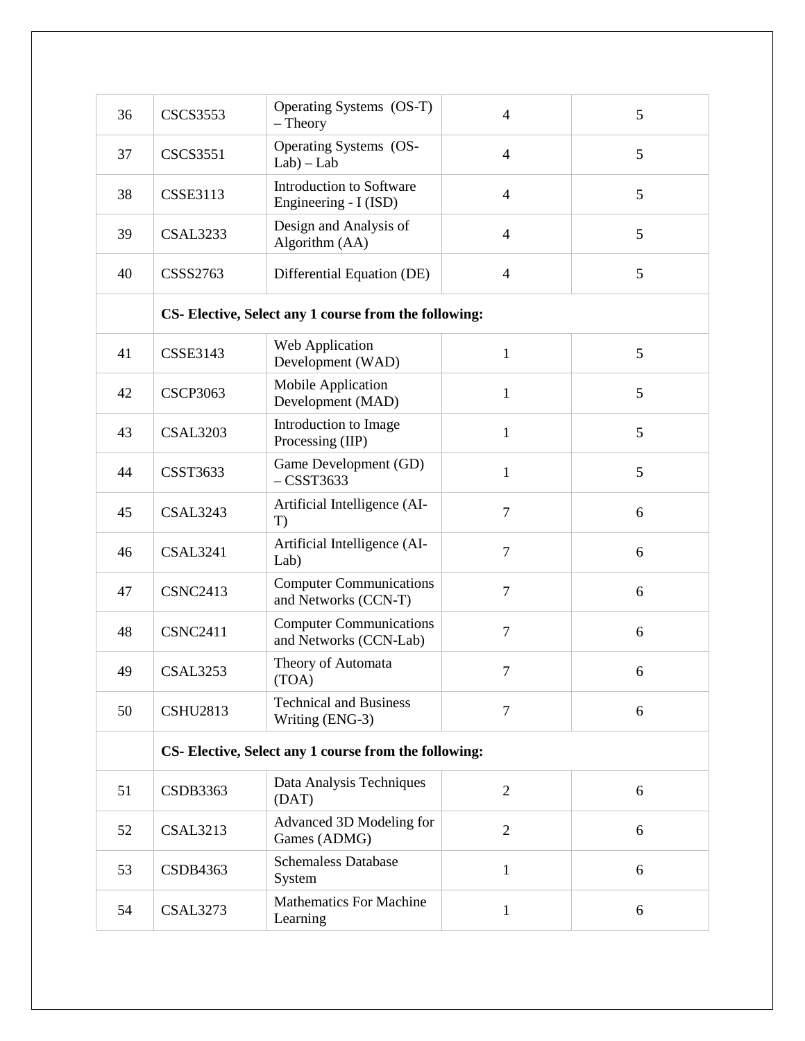| 36 | <b>CSCS3553</b>                                       | Operating Systems (OS-T)<br>$-$ Theory                   | $\overline{4}$ | 5 |  |
|----|-------------------------------------------------------|----------------------------------------------------------|----------------|---|--|
| 37 | <b>CSCS3551</b>                                       | Operating Systems (OS-<br>$Lab$ ) – $Lab$                | $\overline{4}$ | 5 |  |
| 38 | <b>CSSE3113</b>                                       | Introduction to Software<br>Engineering - I (ISD)        | $\overline{4}$ | 5 |  |
| 39 | <b>CSAL3233</b>                                       | Design and Analysis of<br>Algorithm (AA)                 | $\overline{4}$ | 5 |  |
| 40 | <b>CSSS2763</b>                                       | Differential Equation (DE)                               | $\overline{4}$ | 5 |  |
|    | CS- Elective, Select any 1 course from the following: |                                                          |                |   |  |
| 41 | <b>CSSE3143</b>                                       | Web Application<br>Development (WAD)                     | $\mathbf{1}$   | 5 |  |
| 42 | <b>CSCP3063</b>                                       | Mobile Application<br>Development (MAD)                  | $\mathbf{1}$   | 5 |  |
| 43 | <b>CSAL3203</b>                                       | Introduction to Image<br>Processing (IIP)                | $\mathbf{1}$   | 5 |  |
| 44 | <b>CSST3633</b>                                       | Game Development (GD)<br>$-$ CSST3633                    | $\mathbf{1}$   | 5 |  |
| 45 | <b>CSAL3243</b>                                       | Artificial Intelligence (AI-<br>T)                       | $\overline{7}$ | 6 |  |
| 46 | <b>CSAL3241</b>                                       | Artificial Intelligence (AI-<br>Lab)                     | $\overline{7}$ | 6 |  |
| 47 | <b>CSNC2413</b>                                       | <b>Computer Communications</b><br>and Networks (CCN-T)   | $\tau$         | 6 |  |
| 48 | <b>CSNC2411</b>                                       | <b>Computer Communications</b><br>and Networks (CCN-Lab) | $\tau$         | 6 |  |
| 49 | <b>CSAL3253</b>                                       | Theory of Automata<br>(TOA)                              | $\tau$         | 6 |  |
| 50 | <b>CSHU2813</b>                                       | <b>Technical and Business</b><br>Writing (ENG-3)         | $\overline{7}$ | 6 |  |
|    | CS- Elective, Select any 1 course from the following: |                                                          |                |   |  |
| 51 | <b>CSDB3363</b>                                       | Data Analysis Techniques<br>(DAT)                        | $\overline{2}$ | 6 |  |
| 52 | <b>CSAL3213</b>                                       | Advanced 3D Modeling for<br>Games (ADMG)                 | $\overline{2}$ | 6 |  |
| 53 | <b>CSDB4363</b>                                       | <b>Schemaless Database</b><br>System                     | $\mathbf{1}$   | 6 |  |
| 54 | <b>CSAL3273</b>                                       | <b>Mathematics For Machine</b><br>Learning               | $\mathbf{1}$   | 6 |  |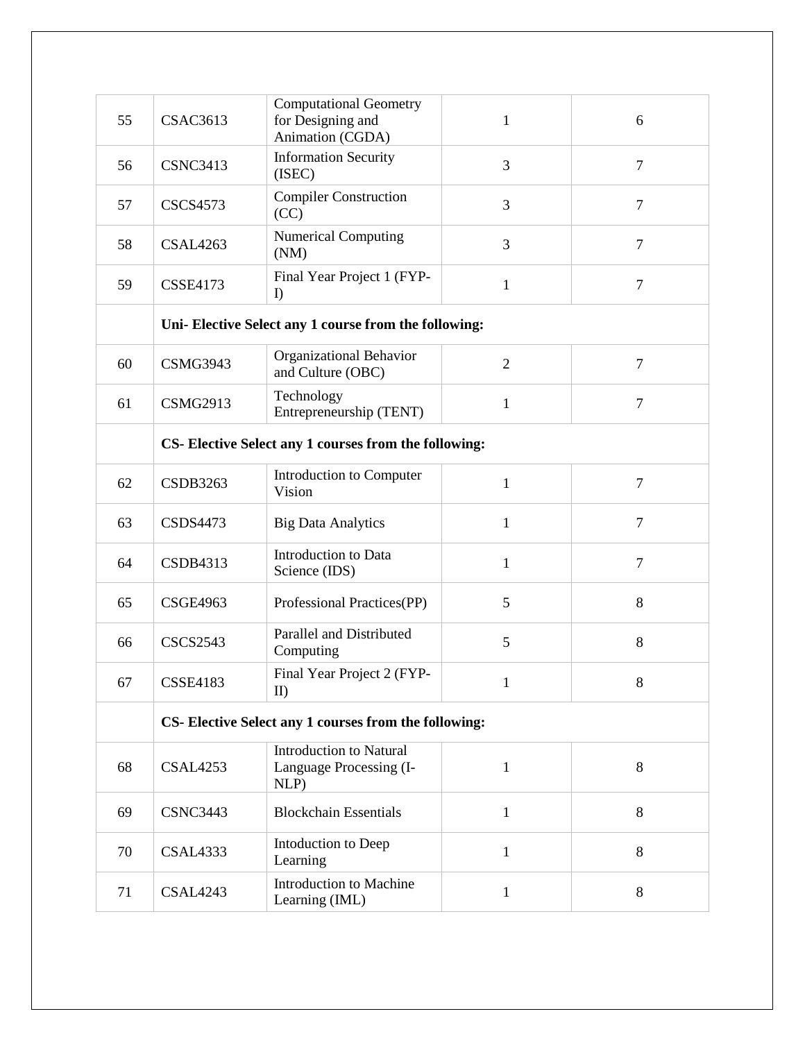| 55 | <b>CSAC3613</b>                                       | <b>Computational Geometry</b><br>for Designing and<br>Animation (CGDA) | $\mathbf{1}$   | 6              |
|----|-------------------------------------------------------|------------------------------------------------------------------------|----------------|----------------|
| 56 | <b>CSNC3413</b>                                       | <b>Information Security</b><br>(ISEC)                                  | 3              | $\overline{7}$ |
| 57 | <b>CSCS4573</b>                                       | <b>Compiler Construction</b><br>(CC)                                   | 3              | $\overline{7}$ |
| 58 | CSAL4263                                              | <b>Numerical Computing</b><br>(NM)                                     | 3              | $\overline{7}$ |
| 59 | <b>CSSE4173</b>                                       | Final Year Project 1 (FYP-<br>$\mathbf{D}$                             | 1              | $\overline{7}$ |
|    | Uni- Elective Select any 1 course from the following: |                                                                        |                |                |
| 60 | <b>CSMG3943</b>                                       | Organizational Behavior<br>and Culture (OBC)                           | $\mathfrak{2}$ | $\overline{7}$ |
| 61 | <b>CSMG2913</b>                                       | Technology<br>Entrepreneurship (TENT)                                  | $\mathbf{1}$   | $\overline{7}$ |
|    | CS- Elective Select any 1 courses from the following: |                                                                        |                |                |
| 62 | <b>CSDB3263</b>                                       | Introduction to Computer<br>Vision                                     | $\mathbf{1}$   | $\overline{7}$ |
| 63 | <b>CSDS4473</b>                                       | <b>Big Data Analytics</b>                                              | $\mathbf{1}$   | $\overline{7}$ |
| 64 | <b>CSDB4313</b>                                       | Introduction to Data<br>Science (IDS)                                  | $\mathbf{1}$   | $\overline{7}$ |
| 65 | <b>CSGE4963</b>                                       | Professional Practices(PP)                                             | 5              | 8              |
| 66 | <b>CSCS2543</b>                                       | Parallel and Distributed<br>Computing                                  | 5              | 8              |
| 67 | <b>CSSE4183</b>                                       | Final Year Project 2 (FYP-<br>II                                       |                | 8              |
|    | CS- Elective Select any 1 courses from the following: |                                                                        |                |                |
| 68 | <b>CSAL4253</b>                                       | <b>Introduction to Natural</b><br>Language Processing (I-<br>NLP)      | $\mathbf{1}$   | 8              |
| 69 | <b>CSNC3443</b>                                       | <b>Blockchain Essentials</b>                                           | 1              | $8\,$          |
| 70 | <b>CSAL4333</b>                                       | Intoduction to Deep<br>Learning                                        | 1              | 8              |
| 71 | CSAL4243                                              | Introduction to Machine<br>Learning (IML)                              | 1              | 8              |